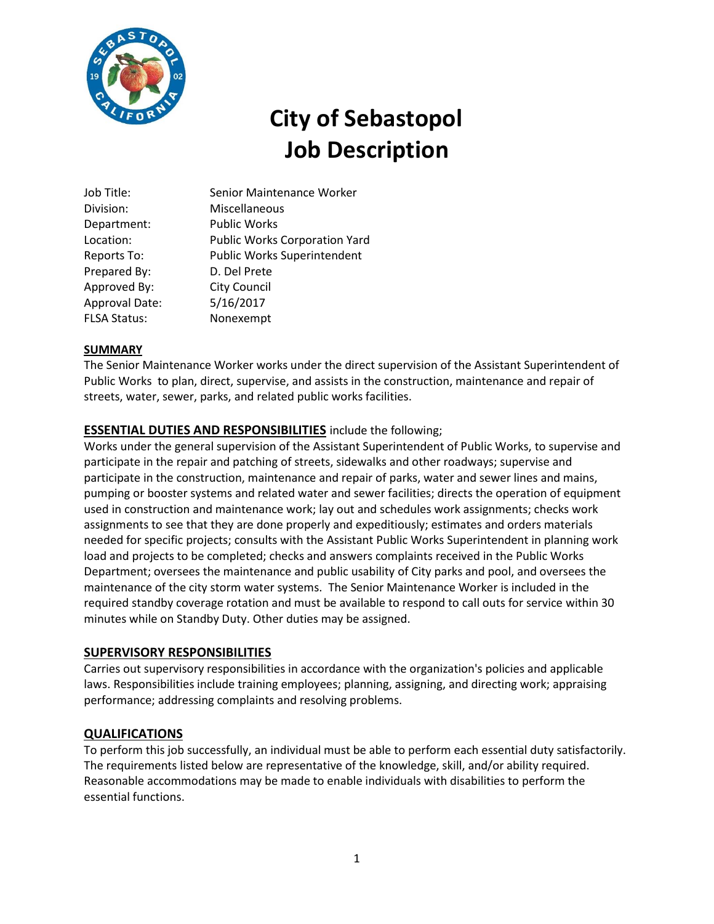

# **City of Sebastopol Job Description**

| Job Title:          | Senior Maintenance Worker            |
|---------------------|--------------------------------------|
| Division:           | Miscellaneous                        |
| Department:         | <b>Public Works</b>                  |
| Location:           | <b>Public Works Corporation Yard</b> |
| Reports To:         | Public Works Superintendent          |
| Prepared By:        | D. Del Prete                         |
| Approved By:        | <b>City Council</b>                  |
| Approval Date:      | 5/16/2017                            |
| <b>FLSA Status:</b> | Nonexempt                            |

## **SUMMARY**

The Senior Maintenance Worker works under the direct supervision of the Assistant Superintendent of Public Works to plan, direct, supervise, and assists in the construction, maintenance and repair of streets, water, sewer, parks, and related public works facilities.

## **ESSENTIAL DUTIES AND RESPONSIBILITIES** include the following;

Works under the general supervision of the Assistant Superintendent of Public Works, to supervise and participate in the repair and patching of streets, sidewalks and other roadways; supervise and participate in the construction, maintenance and repair of parks, water and sewer lines and mains, pumping or booster systems and related water and sewer facilities; directs the operation of equipment used in construction and maintenance work; lay out and schedules work assignments; checks work assignments to see that they are done properly and expeditiously; estimates and orders materials needed for specific projects; consults with the Assistant Public Works Superintendent in planning work load and projects to be completed; checks and answers complaints received in the Public Works Department; oversees the maintenance and public usability of City parks and pool, and oversees the maintenance of the city storm water systems. The Senior Maintenance Worker is included in the required standby coverage rotation and must be available to respond to call outs for service within 30 minutes while on Standby Duty. Other duties may be assigned.

#### **SUPERVISORY RESPONSIBILITIES**

Carries out supervisory responsibilities in accordance with the organization's policies and applicable laws. Responsibilities include training employees; planning, assigning, and directing work; appraising performance; addressing complaints and resolving problems.

#### **QUALIFICATIONS**

To perform this job successfully, an individual must be able to perform each essential duty satisfactorily. The requirements listed below are representative of the knowledge, skill, and/or ability required. Reasonable accommodations may be made to enable individuals with disabilities to perform the essential functions.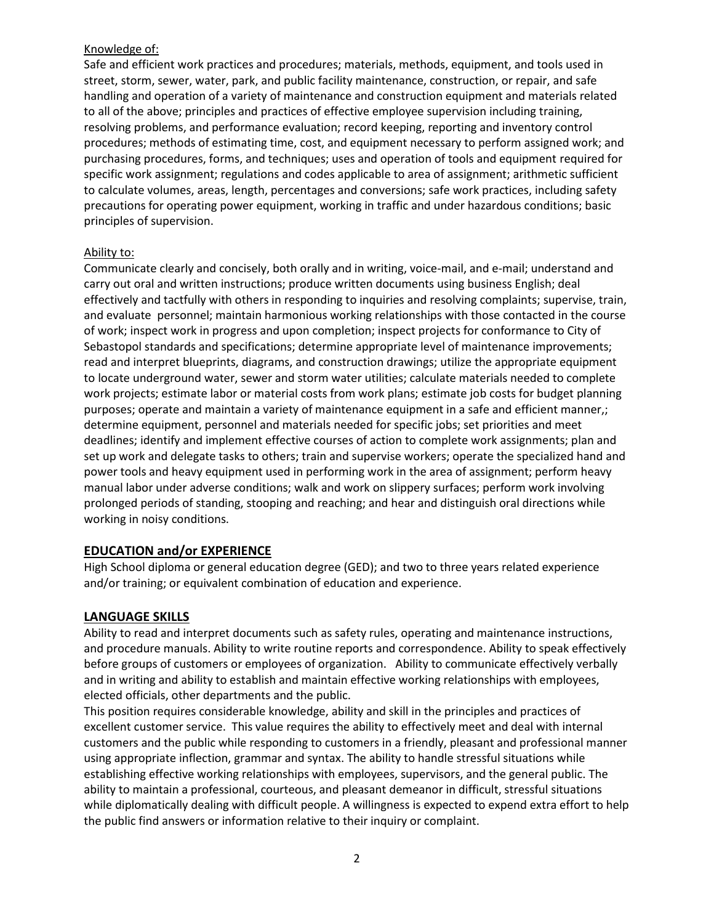## Knowledge of:

Safe and efficient work practices and procedures; materials, methods, equipment, and tools used in street, storm, sewer, water, park, and public facility maintenance, construction, or repair, and safe handling and operation of a variety of maintenance and construction equipment and materials related to all of the above; principles and practices of effective employee supervision including training, resolving problems, and performance evaluation; record keeping, reporting and inventory control procedures; methods of estimating time, cost, and equipment necessary to perform assigned work; and purchasing procedures, forms, and techniques; uses and operation of tools and equipment required for specific work assignment; regulations and codes applicable to area of assignment; arithmetic sufficient to calculate volumes, areas, length, percentages and conversions; safe work practices, including safety precautions for operating power equipment, working in traffic and under hazardous conditions; basic principles of supervision.

## Ability to:

Communicate clearly and concisely, both orally and in writing, voice-mail, and e-mail; understand and carry out oral and written instructions; produce written documents using business English; deal effectively and tactfully with others in responding to inquiries and resolving complaints; supervise, train, and evaluate personnel; maintain harmonious working relationships with those contacted in the course of work; inspect work in progress and upon completion; inspect projects for conformance to City of Sebastopol standards and specifications; determine appropriate level of maintenance improvements; read and interpret blueprints, diagrams, and construction drawings; utilize the appropriate equipment to locate underground water, sewer and storm water utilities; calculate materials needed to complete work projects; estimate labor or material costs from work plans; estimate job costs for budget planning purposes; operate and maintain a variety of maintenance equipment in a safe and efficient manner,; determine equipment, personnel and materials needed for specific jobs; set priorities and meet deadlines; identify and implement effective courses of action to complete work assignments; plan and set up work and delegate tasks to others; train and supervise workers; operate the specialized hand and power tools and heavy equipment used in performing work in the area of assignment; perform heavy manual labor under adverse conditions; walk and work on slippery surfaces; perform work involving prolonged periods of standing, stooping and reaching; and hear and distinguish oral directions while working in noisy conditions.

## **EDUCATION and/or EXPERIENCE**

High School diploma or general education degree (GED); and two to three years related experience and/or training; or equivalent combination of education and experience.

## **LANGUAGE SKILLS**

Ability to read and interpret documents such as safety rules, operating and maintenance instructions, and procedure manuals. Ability to write routine reports and correspondence. Ability to speak effectively before groups of customers or employees of organization. Ability to communicate effectively verbally and in writing and ability to establish and maintain effective working relationships with employees, elected officials, other departments and the public.

This position requires considerable knowledge, ability and skill in the principles and practices of excellent customer service. This value requires the ability to effectively meet and deal with internal customers and the public while responding to customers in a friendly, pleasant and professional manner using appropriate inflection, grammar and syntax. The ability to handle stressful situations while establishing effective working relationships with employees, supervisors, and the general public. The ability to maintain a professional, courteous, and pleasant demeanor in difficult, stressful situations while diplomatically dealing with difficult people. A willingness is expected to expend extra effort to help the public find answers or information relative to their inquiry or complaint.